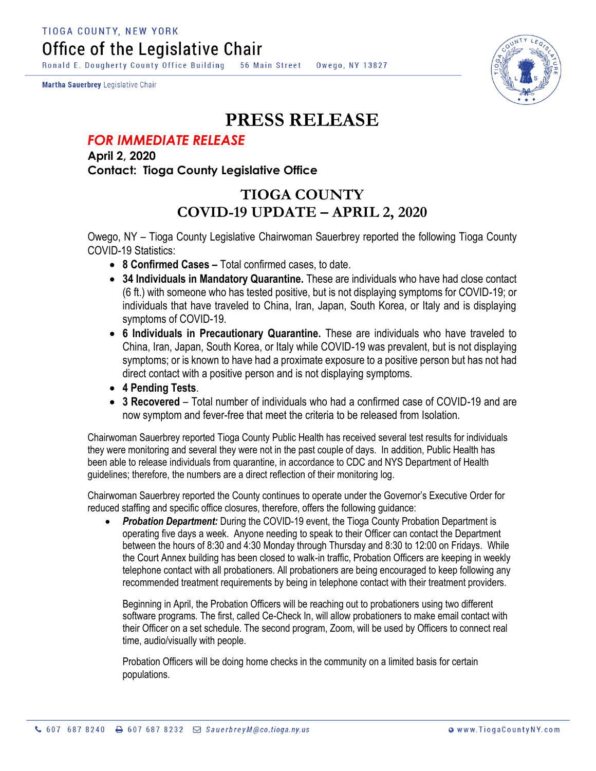**TIOGA COUNTY, NEW YORK** Office of the Legislative Chair

Ronald E. Dougherty County Office Building 56 Main Street Owego, NY 13827

Martha Sauerbrey Legislative Chair



## **PRESS RELEASE**

## *FOR IMMEDIATE RELEASE*

**April 2, 2020 Contact: Tioga County Legislative Office**

## **TIOGA COUNTY COVID-19 UPDATE – APRIL 2, 2020**

Owego, NY – Tioga County Legislative Chairwoman Sauerbrey reported the following Tioga County COVID-19 Statistics:

- **8 Confirmed Cases –** Total confirmed cases, to date.
- **34 Individuals in Mandatory Quarantine.** These are individuals who have had close contact (6 ft.) with someone who has tested positive, but is not displaying symptoms for COVID-19; or individuals that have traveled to China, Iran, Japan, South Korea, or Italy and is displaying symptoms of COVID-19.
- **6 Individuals in Precautionary Quarantine.** These are individuals who have traveled to China, Iran, Japan, South Korea, or Italy while COVID-19 was prevalent, but is not displaying symptoms; or is known to have had a proximate exposure to a positive person but has not had direct contact with a positive person and is not displaying symptoms.
- **4 Pending Tests**.
- **3 Recovered** Total number of individuals who had a confirmed case of COVID-19 and are now symptom and fever-free that meet the criteria to be released from Isolation.

Chairwoman Sauerbrey reported Tioga County Public Health has received several test results for individuals they were monitoring and several they were not in the past couple of days. In addition, Public Health has been able to release individuals from quarantine, in accordance to CDC and NYS Department of Health guidelines; therefore, the numbers are a direct reflection of their monitoring log.

Chairwoman Sauerbrey reported the County continues to operate under the Governor's Executive Order for reduced staffing and specific office closures, therefore, offers the following guidance:

 *Probation Department:* During the COVID-19 event, the Tioga County Probation Department is operating five days a week. Anyone needing to speak to their Officer can contact the Department between the hours of 8:30 and 4:30 Monday through Thursday and 8:30 to 12:00 on Fridays. While the Court Annex building has been closed to walk-in traffic, Probation Officers are keeping in weekly telephone contact with all probationers. All probationers are being encouraged to keep following any recommended treatment requirements by being in telephone contact with their treatment providers.

Beginning in April, the Probation Officers will be reaching out to probationers using two different software programs. The first, called Ce-Check In, will allow probationers to make email contact with their Officer on a set schedule. The second program, Zoom, will be used by Officers to connect real time, audio/visually with people.

Probation Officers will be doing home checks in the community on a limited basis for certain populations.